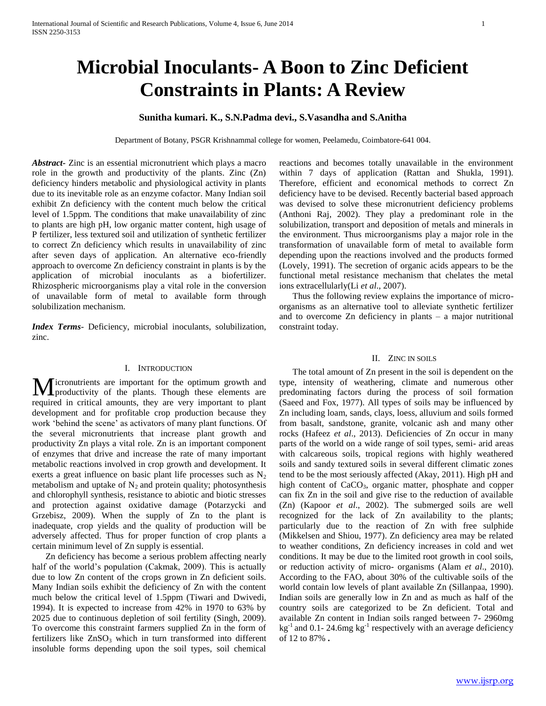# **Microbial Inoculants- A Boon to Zinc Deficient Constraints in Plants: A Review**

# **Sunitha kumari. K., S.N.Padma devi., S.Vasandha and S.Anitha**

Department of Botany, PSGR Krishnammal college for women, Peelamedu, Coimbatore-641 004.

*Abstract***-** Zinc is an essential micronutrient which plays a macro role in the growth and productivity of the plants. Zinc (Zn) deficiency hinders metabolic and physiological activity in plants due to its inevitable role as an enzyme cofactor. Many Indian soil exhibit Zn deficiency with the content much below the critical level of 1.5ppm. The conditions that make unavailability of zinc to plants are high pH, low organic matter content, high usage of P fertilizer, less textured soil and utilization of synthetic fertilizer to correct Zn deficiency which results in unavailability of zinc after seven days of application. An alternative eco-friendly approach to overcome Zn deficiency constraint in plants is by the application of microbial inoculants as a biofertilizer. Rhizospheric microorganisms play a vital role in the conversion of unavailable form of metal to available form through solubilization mechanism.

*Index Terms*- Deficiency, microbial inoculants, solubilization, zinc.

# I. INTRODUCTION

icronutrients are important for the optimum growth and Micronutrients are important for the optimum growth and productivity of the plants. Though these elements are required in critical amounts, they are very important to plant development and for profitable crop production because they work 'behind the scene' as activators of many plant functions. Of the several micronutrients that increase plant growth and productivity Zn plays a vital role. Zn is an important component of enzymes that drive and increase the rate of many important metabolic reactions involved in crop growth and development. It exerts a great influence on basic plant life processes such as  $N_2$ metabolism and uptake of  $N_2$  and protein quality; photosynthesis and chlorophyll synthesis, resistance to abiotic and biotic stresses and protection against oxidative damage (Potarzycki and Grzebisz, 2009). When the supply of Zn to the plant is inadequate, crop yields and the quality of production will be adversely affected. Thus for proper function of crop plants a certain minimum level of Zn supply is essential.

 Zn deficiency has become a serious problem affecting nearly half of the world's population (Cakmak, 2009). This is actually due to low Zn content of the crops grown in Zn deficient soils. Many Indian soils exhibit the deficiency of Zn with the content much below the critical level of 1.5ppm (Tiwari and Dwivedi, 1994). It is expected to increase from 42% in 1970 to 63% by 2025 due to continuous depletion of soil fertility (Singh, 2009). To overcome this constraint farmers supplied Zn in the form of fertilizers like  $ZnSO_3$  which in turn transformed into different insoluble forms depending upon the soil types, soil chemical

reactions and becomes totally unavailable in the environment within 7 days of application (Rattan and Shukla, 1991). Therefore, efficient and economical methods to correct Zn deficiency have to be devised. Recently bacterial based approach was devised to solve these micronutrient deficiency problems (Anthoni Raj, 2002). They play a predominant role in the solubilization, transport and deposition of metals and minerals in the environment. Thus microorganisms play a major role in the transformation of unavailable form of metal to available form depending upon the reactions involved and the products formed (Lovely, 1991). The secretion of organic acids appears to be the functional metal resistance mechanism that chelates the metal ions extracellularly(Li *et al*., 2007).

 Thus the following review explains the importance of microorganisms as an alternative tool to alleviate synthetic fertilizer and to overcome Zn deficiency in plants – a major nutritional constraint today.

# II. ZINC IN SOILS

 The total amount of Zn present in the soil is dependent on the type, intensity of weathering, climate and numerous other predominating factors during the process of soil formation (Saeed and Fox, 1977). All types of soils may be influenced by Zn including loam, sands, clays, loess, alluvium and soils formed from basalt, sandstone, granite, volcanic ash and many other rocks (Hafeez *et al*., 2013). Deficiencies of Zn occur in many parts of the world on a wide range of soil types, semi- arid areas with calcareous soils, tropical regions with highly weathered soils and sandy textured soils in several different climatic zones tend to be the most seriously affected (Akay, 2011). High pH and high content of CaCO<sub>3</sub>, organic matter, phosphate and copper can fix Zn in the soil and give rise to the reduction of available (Zn) (Kapoor *et al*., 2002). The submerged soils are well recognized for the lack of Zn availability to the plants; particularly due to the reaction of Zn with free sulphide (Mikkelsen and Shiou, 1977). Zn deficiency area may be related to weather conditions, Zn deficiency increases in cold and wet conditions. It may be due to the limited root growth in cool soils, or reduction activity of micro- organisms (Alam *et al*., 2010). According to the FAO, about 30% of the cultivable soils of the world contain low levels of plant available Zn (Sillanpaa, 1990). Indian soils are generally low in Zn and as much as half of the country soils are categorized to be Zn deficient. Total and available Zn content in Indian soils ranged between 7- 2960mg  $kg^{-1}$  and 0.1-24.6mg  $kg^{-1}$  respectively with an average deficiency of 12 to 87% **.**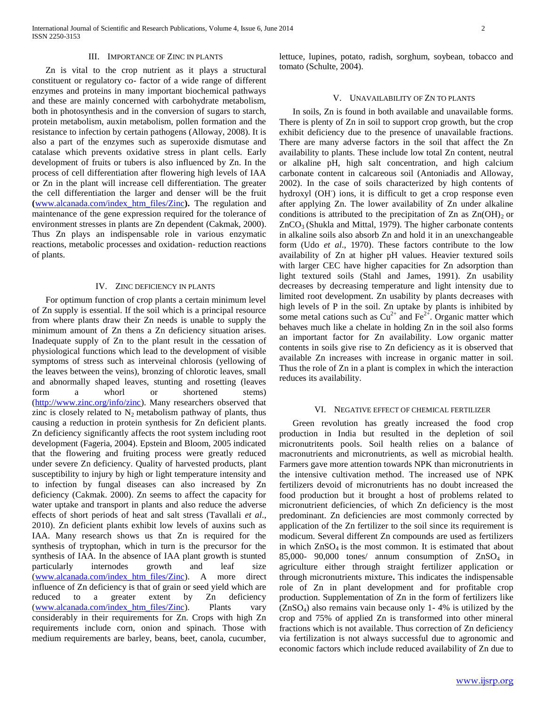# III. IMPORTANCE OF ZINC IN PLANTS

 Zn is vital to the crop nutrient as it plays a structural constituent or regulatory co- factor of a wide range of different enzymes and proteins in many important biochemical pathways and these are mainly concerned with carbohydrate metabolism, both in photosynthesis and in the conversion of sugars to starch, protein metabolism, auxin metabolism, pollen formation and the resistance to infection by certain pathogens (Alloway, 2008). It is also a part of the enzymes such as superoxide dismutase and catalase which prevents oxidative stress in plant cells. Early development of fruits or tubers is also influenced by Zn. In the process of cell differentiation after flowering high levels of IAA or Zn in the plant will increase cell differentiation. The greater the cell differentiation the larger and denser will be the fruit **(**[www.alcanada.com/index\\_htm\\_files/Zinc](http://www.alcanada.com/index_htm_files/Zinc)**).** The regulation and maintenance of the gene expression required for the tolerance of environment stresses in plants are Zn dependent (Cakmak, 2000). Thus Zn plays an indispensable role in various enzymatic reactions, metabolic processes and oxidation- reduction reactions of plants.

## IV. ZINC DEFICIENCY IN PLANTS

 For optimum function of crop plants a certain minimum level of Zn supply is essential. If the soil which is a principal resource from where plants draw their Zn needs is unable to supply the minimum amount of Zn thens a Zn deficiency situation arises. Inadequate supply of Zn to the plant result in the cessation of physiological functions which lead to the development of visible symptoms of stress such as interveinal chlorosis (yellowing of the leaves between the veins), bronzing of chlorotic leaves, small and abnormally shaped leaves, stunting and rosetting (leaves form a whorl or shortened stems) [\(http://www.zinc.org/info/zinc\)](http://www.zinc.org/info/zinc). Many researchers observed that zinc is closely related to  $N_2$  metabolism pathway of plants, thus causing a reduction in protein synthesis for Zn deficient plants. Zn deficiency significantly affects the root system including root development (Fageria, 2004). Epstein and Bloom, 2005 indicated that the flowering and fruiting process were greatly reduced under severe Zn deficiency. Quality of harvested products, plant susceptibility to injury by high or light temperature intensity and to infection by fungal diseases can also increased by Zn deficiency (Cakmak. 2000). Zn seems to affect the capacity for water uptake and transport in plants and also reduce the adverse effects of short periods of heat and salt stress (Tavallali *et al*., 2010). Zn deficient plants exhibit low levels of auxins such as IAA. Many research shows us that Zn is required for the synthesis of tryptophan, which in turn is the precursor for the synthesis of IAA. In the absence of IAA plant growth is stunted particularly internodes growth and leaf size [\(www.alcanada.com/index\\_htm\\_files/Zinc\)](http://www.alcanada.com/index_htm_files/Zinc). A more direct influence of Zn deficiency is that of grain or seed yield which are reduced to a greater extent by Zn deficiency [\(www.alcanada.com/index\\_htm\\_files/Zinc\)](http://www.alcanada.com/index_htm_files/Zinc). Plants vary considerably in their requirements for Zn. Crops with high Zn requirements include corn, onion and spinach. Those with medium requirements are barley, beans, beet, canola, cucumber,

lettuce, lupines, potato, radish, sorghum, soybean, tobacco and tomato (Schulte, 2004).

# V. UNAVAILABILITY OF ZN TO PLANTS

 In soils, Zn is found in both available and unavailable forms. There is plenty of Zn in soil to support crop growth, but the crop exhibit deficiency due to the presence of unavailable fractions. There are many adverse factors in the soil that affect the Zn availability to plants. These include low total Zn content, neutral or alkaline pH, high salt concentration, and high calcium carbonate content in calcareous soil (Antoniadis and Alloway, 2002). In the case of soils characterized by high contents of hydroxyl (OH<sup>-</sup>) ions, it is difficult to get a crop response even after applying Zn. The lower availability of Zn under alkaline conditions is attributed to the precipitation of  $Zn$  as  $Zn(OH)_{2}$  or  $ZnCO<sub>3</sub>$  (Shukla and Mittal, 1979). The higher carbonate contents in alkaline soils also absorb Zn and hold it in an unexchangeable form (Udo *et al*., 1970). These factors contribute to the low availability of Zn at higher pH values. Heavier textured soils with larger CEC have higher capacities for Zn adsorption than light textured soils (Stahl and James, 1991). Zn usability decreases by decreasing temperature and light intensity due to limited root development. Zn usability by plants decreases with high levels of P in the soil. Zn uptake by plants is inhibited by some metal cations such as  $Cu^{2+}$  and  $Fe^{2+}$ . Organic matter which behaves much like a chelate in holding Zn in the soil also forms an important factor for Zn availability. Low organic matter contents in soils give rise to Zn deficiency as it is observed that available Zn increases with increase in organic matter in soil. Thus the role of Zn in a plant is complex in which the interaction reduces its availability.

#### VI. NEGATIVE EFFECT OF CHEMICAL FERTILIZER

 Green revolution has greatly increased the food crop production in India but resulted in the depletion of soil micronutritents pools. Soil health relies on a balance of macronutrients and micronutrients, as well as microbial health. Farmers gave more attention towards NPK than micronutrients in the intensive cultivation method. The increased use of NPK fertilizers devoid of micronutrients has no doubt increased the food production but it brought a host of problems related to micronutrient deficiencies, of which Zn deficiency is the most predominant. Zn deficiencies are most commonly corrected by application of the Zn fertilizer to the soil since its requirement is modicum. Several different Zn compounds are used as fertilizers in which  $ZnSO<sub>4</sub>$  is the most common. It is estimated that about 85,000- 90,000 tones/ annum consumption of  $ZnSO_4$  in agriculture either through straight fertilizer application or through micronutrients mixture**.** This indicates the indispensable role of Zn in plant development and for profitable crop production. Supplementation of Zn in the form of fertilizers like  $(ZnSO<sub>4</sub>)$  also remains vain because only 1-4% is utilized by the crop and 75% of applied Zn is transformed into other mineral fractions which is not available. Thus correction of Zn deficiency via fertilization is not always successful due to agronomic and economic factors which include reduced availability of Zn due to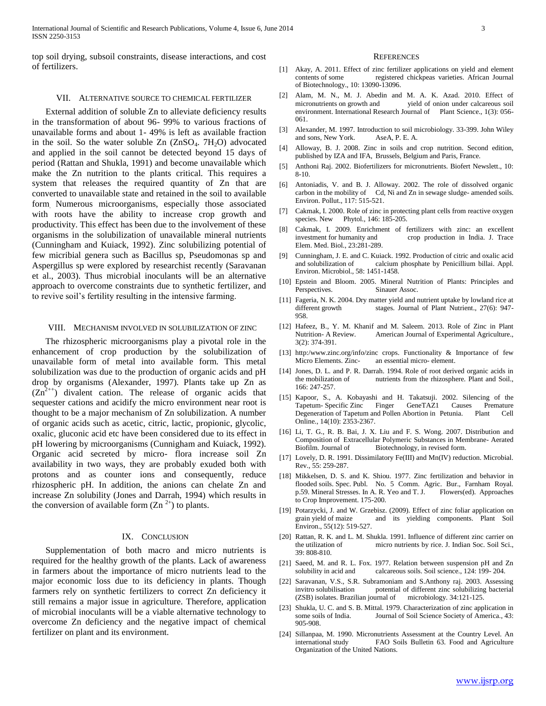top soil drying, subsoil constraints, disease interactions, and cost of fertilizers.

#### VII. ALTERNATIVE SOURCE TO CHEMICAL FERTILIZER

 External addition of soluble Zn to alleviate deficiency results in the transformation of about 96- 99% to various fractions of unavailable forms and about 1- 49% is left as available fraction in the soil. So the water soluble  $Zn$  ( $ZnSO<sub>4</sub>$ .  $7H<sub>2</sub>O$ ) advocated and applied in the soil cannot be detected beyond 15 days of period (Rattan and Shukla, 1991) and become unavailable which make the Zn nutrition to the plants critical. This requires a system that releases the required quantity of Zn that are converted to unavailable state and retained in the soil to available form. Numerous microorganisms, especially those associated with roots have the ability to increase crop growth and productivity. This effect has been due to the involvement of these organisms in the solubilization of unavailable mineral nutrients (Cunningham and Kuiack, 1992). Zinc solubilizing potential of few micribial genera such as Bacillus sp, Pseudomonas sp and Aspergillus sp were explored by researchist recently (Saravanan et al., 2003). Thus microbial inoculants will be an alternative approach to overcome constraints due to synthetic fertilizer, and to revive soil's fertility resulting in the intensive farming.

## VIII. MECHANISM INVOLVED IN SOLUBILIZATION OF ZINC

 The rhizospheric microorganisms play a pivotal role in the enhancement of crop production by the solubilization of unavailable form of metal into available form. This metal solubilization was due to the production of organic acids and pH drop by organisms (Alexander, 1997). Plants take up Zn as  $(Zn^{2++})$  divalent cation. The release of organic acids that sequester cations and acidify the micro environment near root is thought to be a major mechanism of Zn solubilization. A number of organic acids such as acetic, citric, lactic, propionic, glycolic, oxalic, gluconic acid etc have been considered due to its effect in pH lowering by microorganisms (Cunnigham and Kuiack, 1992). Organic acid secreted by micro- flora increase soil Zn availability in two ways, they are probably exuded both with protons and as counter ions and consequently, reduce rhizospheric pH. In addition, the anions can chelate Zn and increase Zn solubility (Jones and Darrah, 1994) which results in the conversion of available form  $(Zn^{2+})$  to plants.

# IX. CONCLUSION

 Supplementation of both macro and micro nutrients is required for the healthy growth of the plants. Lack of awareness in farmers about the importance of micro nutrients lead to the major economic loss due to its deficiency in plants. Though farmers rely on synthetic fertilizers to correct Zn deficiency it still remains a major issue in agriculture. Therefore, application of microbial inoculants will be a viable alternative technology to overcome Zn deficiency and the negative impact of chemical fertilizer on plant and its environment.

#### **REFERENCES**

- [1] Akay, A. 2011. Effect of zinc fertilizer applications on yield and element contents of some registered chickpeas varieties. African Journal of Biotechnology., 10: 13090-13096.
- [2] Alam, M. N., M. J. Abedin and M. A. K. Azad. 2010. Effect of micronutrients on growth and yield of onion under calcareous soil environment. International Research Journal of Plant Science., 1(3): 056-061.
- [3] Alexander, M. 1997. Introduction to soil microbiology. 33-399. John Wiley and sons, New York. AseA, P. E. A.
- [4] Alloway, B. J. 2008. Zinc in soils and crop nutrition. Second edition, published by IZA and IFA, Brussels, Belgium and Paris, France.
- [5] Anthoni Raj. 2002. Biofertilizers for micronutrients. Biofert Newslett., 10: 8-10.
- [6] Antoniadis, V. and B. J. Alloway. 2002. The role of dissolved organic carbon in the mobility of Cd, Ni and Zn in sewage sludge- amended soils. Environ. Pollut., 117: 515-521.
- [7] Cakmak, I. 2000. Role of zinc in protecting plant cells from reactive oxygen species. New Phytol., 146: 185-205.
- [8] Cakmak, I. 2009. Enrichment of fertilizers with zinc: an excellent investment for humanity and crop production in India. J. Trace Elem. Med. Biol., 23:281-289.
- [9] Cunningham, J. E. and C. Kuiack. 1992. Production of citric and oxalic acid and solubilization of calcium phosphate by Penicillium billai. Appl. Environ. Microbiol., 58: 1451-1458.
- [10] Epstein and Bloom. 2005. Mineral Nutrition of Plants: Principles and Perspectives. Sinauer Assoc.
- [11] Fageria, N. K. 2004. Dry matter yield and nutrient uptake by lowland rice at different growth stages. Journal of Plant Nutrient., 27(6): 947-958.
- [12] Hafeez, B., Y. M. Khanif and M. Saleem. 2013. Role of Zinc in Plant Nutrition- A Review. American Journal of Experimental Agriculture., 3(2): 374-391.
- [13] http:/www.zinc.org/info/zinc crops. Functionality & Importance of few Micro Elements. Zinc- an essential micro- element.
- [14] Jones, D. L. and P. R. Darrah. 1994. Role of root derived organic acids in the mobilization of nutrients from the rhizosphere. Plant and Soil., 166: 247-257.
- [15] Kapoor, S., A. Kobayashi and H. Takatsuji. 2002. Silencing of the Tapetum- Specific Zinc Finger GeneTAZ1 Causes Premature Degeneration of Tapetum and Pollen Abortion in Petunia. Plant Cell Online., 14(10): 2353-2367.
- [16] Li, T. G., R. B. Bai, J. X. Liu and F. S. Wong. 2007. Distribution and Composition of Extracellular Polymeric Substances in Membrane- Aerated Biofilm. Journal of Biotechnology, in revised form.
- [17] Lovely, D. R. 1991. Dissimilatory Fe(III) and Mn(IV) reduction. Microbial. Rev., 55: 259-287.
- [18] Mikkelsen, D. S. and K. Shiou. 1977. Zinc fertilization and behavior in flooded soils. Spec. Publ. No. 5 Comm. Agric. Bur., Farnham Royal. p.59. Mineral Stresses. In A. R. Yeo and T. J. Flowers(ed). Approaches to Crop Improvement. 175-200.
- [19] Potarzycki, J. and W. Grzebisz. (2009). Effect of zinc foliar application on and its yielding components. Plant Soil Environ., 55(12): 519-527.
- [20] Rattan, R. K. and L. M. Shukla. 1991. Influence of different zinc carrier on the utilization of micro nutrients by rice. J. Indian Soc. Soil Sci., 39: 808-810.
- [21] Saeed, M. and R. L. Fox. 1977. Relation between suspension pH and Zn solubility in acid and calcareous soils. Soil science., 124: 199- 204.
- [22] Saravanan, V.S., S.R. Subramoniam and S.Anthony raj. 2003. Assessing invitro solubilisation potential of different zinc solubilizing bacterial (ZSB) isolates. Brazilian journal of microbiology. 34:121-125.
- [23] Shukla, U. C. and S. B. Mittal. 1979. Characterization of zinc application in some soils of India. Journal of Soil Science Society of America., 43: 905-908.
- [24] Sillanpaa, M. 1990. Micronutrients Assessment at the Country Level. An international study FAO Soils Bulletin 63. Food and Agriculture Organization of the United Nations.